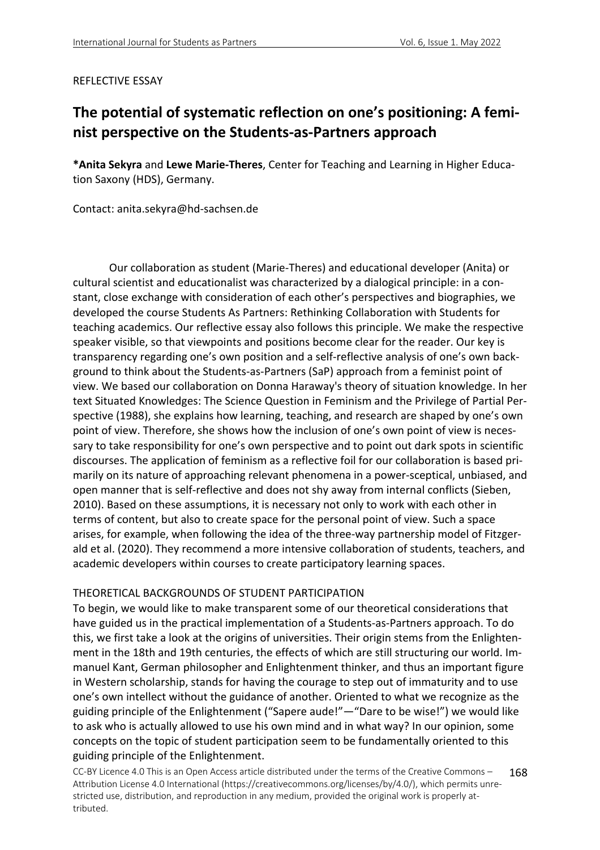#### REFLECTIVE ESSAY

# **The potential of systematic reflection on one's positioning: A feminist perspective on the Students-as-Partners approach**

**\*Anita Sekyra** and **Lewe Marie-Theres**, Center for Teaching and Learning in Higher Education Saxony (HDS), Germany.

Contact: anita.sekyra@hd-sachsen.de

Our collaboration as student (Marie-Theres) and educational developer (Anita) or cultural scientist and educationalist was characterized by a dialogical principle: in a constant, close exchange with consideration of each other's perspectives and biographies, we developed the course Students As Partners: Rethinking Collaboration with Students for teaching academics. Our reflective essay also follows this principle. We make the respective speaker visible, so that viewpoints and positions become clear for the reader. Our key is transparency regarding one's own position and a self-reflective analysis of one's own background to think about the Students-as-Partners (SaP) approach from a feminist point of view. We based our collaboration on Donna Haraway's theory of situation knowledge. In her text Situated Knowledges: The Science Question in Feminism and the Privilege of Partial Perspective (1988), she explains how learning, teaching, and research are shaped by one's own point of view. Therefore, she shows how the inclusion of one's own point of view is necessary to take responsibility for one's own perspective and to point out dark spots in scientific discourses. The application of feminism as a reflective foil for our collaboration is based primarily on its nature of approaching relevant phenomena in a power-sceptical, unbiased, and open manner that is self-reflective and does not shy away from internal conflicts (Sieben, 2010). Based on these assumptions, it is necessary not only to work with each other in terms of content, but also to create space for the personal point of view. Such a space arises, for example, when following the idea of the three-way partnership model of Fitzgerald et al. (2020). They recommend a more intensive collaboration of students, teachers, and academic developers within courses to create participatory learning spaces.

#### THEORETICAL BACKGROUNDS OF STUDENT PARTICIPATION

To begin, we would like to make transparent some of our theoretical considerations that have guided us in the practical implementation of a Students-as-Partners approach. To do this, we first take a look at the origins of universities. Their origin stems from the Enlightenment in the 18th and 19th centuries, the effects of which are still structuring our world. Immanuel Kant, German philosopher and Enlightenment thinker, and thus an important figure in Western scholarship, stands for having the courage to step out of immaturity and to use one's own intellect without the guidance of another. Oriented to what we recognize as the guiding principle of the Enlightenment ("Sapere aude!"—"Dare to be wise!") we would like to ask who is actually allowed to use his own mind and in what way? In our opinion, some concepts on the topic of student participation seem to be fundamentally oriented to this guiding principle of the Enlightenment.

CC-BY Licence 4.0 This is an Open Access article distributed under the terms of the Creative Commons – Attribution License 4.0 International (https://creativecommons.org/licenses/by/4.0/), which permits unrestricted use, distribution, and reproduction in any medium, provided the original work is properly attributed. 168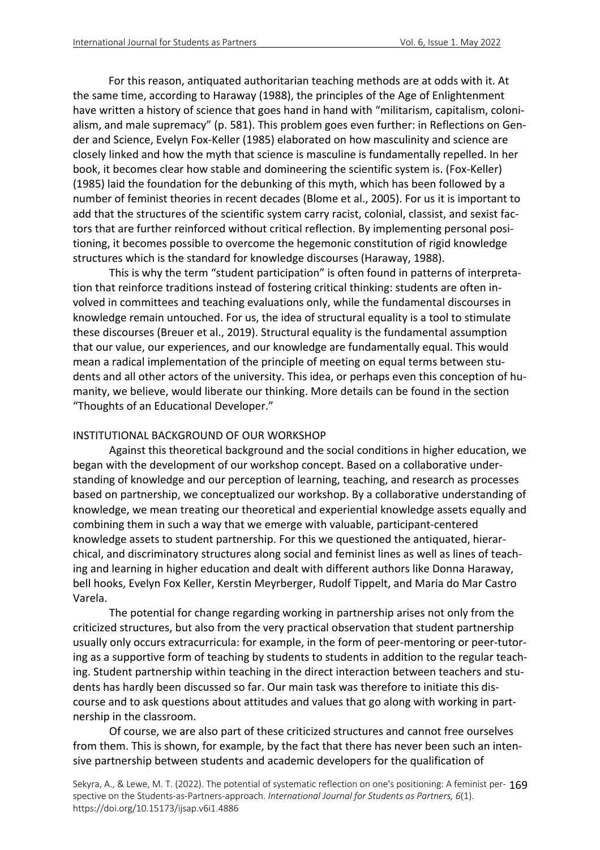For this reason, antiquated authoritarian teaching methods are at odds with it. At the same time, according to Haraway (1988), the principles of the Age of Enlightenment have written a history of science that goes hand in hand with "militarism, capitalism, colonialism, and male supremacy" (p. 581). This problem goes even further: in Reflections on Gender and Science, Evelyn Fox-Keller (1985) elaborated on how masculinity and science are closely linked and how the myth that science is masculine is fundamentally repelled. In her book, it becomes clear how stable and domineering the scientific system is. (Fox-Keller) (1985) laid the foundation for the debunking of this myth, which has been followed by a number of feminist theories in recent decades (Blome et al., 2005). For us it is important to add that the structures of the scientific system carry racist, colonial, classist, and sexist factors that are further reinforced without critical reflection. By implementing personal positioning, it becomes possible to overcome the hegemonic constitution of rigid knowledge structures which is the standard for knowledge discourses (Haraway, 1988).

This is why the term "student participation" is often found in patterns of interpretation that reinforce traditions instead of fostering critical thinking: students are often involved in committees and teaching evaluations only, while the fundamental discourses in knowledge remain untouched. For us, the idea of structural equality is a tool to stimulate these discourses (Breuer et al., 2019). Structural equality is the fundamental assumption that our value, our experiences, and our knowledge are fundamentally equal. This would mean a radical implementation of the principle of meeting on equal terms between students and all other actors of the university. This idea, or perhaps even this conception of humanity, we believe, would liberate our thinking. More details can be found in the section "Thoughts of an Educational Developer."

#### INSTITUTIONAL BACKGROUND OF OUR WORKSHOP

Against this theoretical background and the social conditions in higher education, we began with the development of our workshop concept. Based on a collaborative understanding of knowledge and our perception of learning, teaching, and research as processes based on partnership, we conceptualized our workshop. By a collaborative understanding of knowledge, we mean treating our theoretical and experiential knowledge assets equally and combining them in such a way that we emerge with valuable, participant-centered knowledge assets to student partnership. For this we questioned the antiquated, hierarchical, and discriminatory structures along social and feminist lines as well as lines of teaching and learning in higher education and dealt with different authors like Donna Haraway, bell hooks, Evelyn Fox Keller, Kerstin Meyrberger, Rudolf Tippelt, and Maria do Mar Castro Varela.

The potential for change regarding working in partnership arises not only from the criticized structures, but also from the very practical observation that student partnership usually only occurs extracurricula: for example, in the form of peer-mentoring or peer-tutoring as a supportive form of teaching by students to students in addition to the regular teaching. Student partnership within teaching in the direct interaction between teachers and students has hardly been discussed so far. Our main task was therefore to initiate this discourse and to ask questions about attitudes and values that go along with working in partnership in the classroom.

Of course, we are also part of these criticized structures and cannot free ourselves from them. This is shown, for example, by the fact that there has never been such an intensive partnership between students and academic developers for the qualification of

Sekyra, A., & Lewe, M. T. (2022). The potential of systematic reflection on one's positioning: A feminist per-169 spective on the Students-as-Partners-approach. *International Journal for Students as Partners, 6*(1). https://doi.org/10.15173/ijsap.v6i1.4886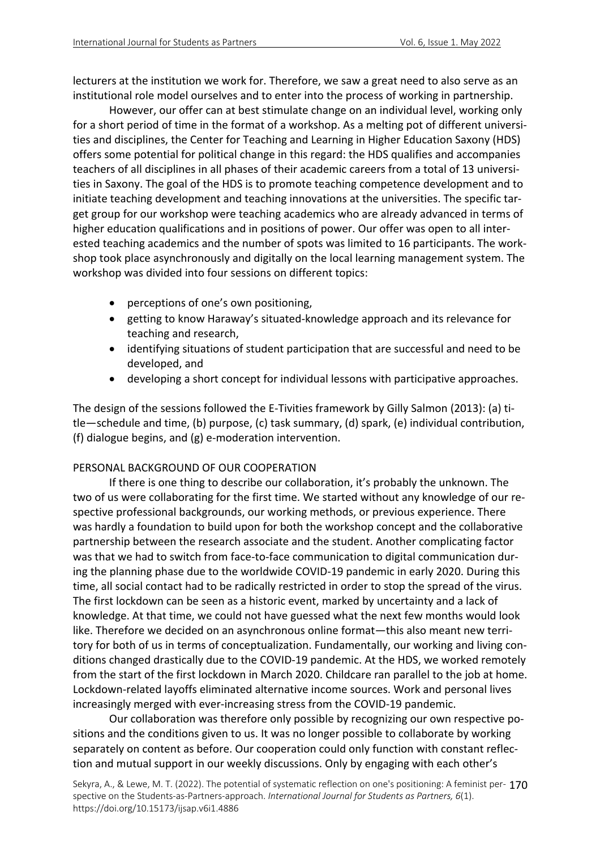lecturers at the institution we work for. Therefore, we saw a great need to also serve as an institutional role model ourselves and to enter into the process of working in partnership.

However, our offer can at best stimulate change on an individual level, working only for a short period of time in the format of a workshop. As a melting pot of different universities and disciplines, the Center for Teaching and Learning in Higher Education Saxony (HDS) offers some potential for political change in this regard: the HDS qualifies and accompanies teachers of all disciplines in all phases of their academic careers from a total of 13 universities in Saxony. The goal of the HDS is to promote teaching competence development and to initiate teaching development and teaching innovations at the universities. The specific target group for our workshop were teaching academics who are already advanced in terms of higher education qualifications and in positions of power. Our offer was open to all interested teaching academics and the number of spots was limited to 16 participants. The workshop took place asynchronously and digitally on the local learning management system. The workshop was divided into four sessions on different topics:

- perceptions of one's own positioning,
- getting to know Haraway's situated-knowledge approach and its relevance for teaching and research,
- identifying situations of student participation that are successful and need to be developed, and
- developing a short concept for individual lessons with participative approaches.

The design of the sessions followed the E-Tivities framework by Gilly Salmon (2013): (a) title—schedule and time, (b) purpose, (c) task summary, (d) spark, (e) individual contribution, (f) dialogue begins, and (g) e-moderation intervention.

# PERSONAL BACKGROUND OF OUR COOPERATION

If there is one thing to describe our collaboration, it's probably the unknown. The two of us were collaborating for the first time. We started without any knowledge of our respective professional backgrounds, our working methods, or previous experience. There was hardly a foundation to build upon for both the workshop concept and the collaborative partnership between the research associate and the student. Another complicating factor was that we had to switch from face-to-face communication to digital communication during the planning phase due to the worldwide COVID-19 pandemic in early 2020. During this time, all social contact had to be radically restricted in order to stop the spread of the virus. The first lockdown can be seen as a historic event, marked by uncertainty and a lack of knowledge. At that time, we could not have guessed what the next few months would look like. Therefore we decided on an asynchronous online format—this also meant new territory for both of us in terms of conceptualization. Fundamentally, our working and living conditions changed drastically due to the COVID-19 pandemic. At the HDS, we worked remotely from the start of the first lockdown in March 2020. Childcare ran parallel to the job at home. Lockdown-related layoffs eliminated alternative income sources. Work and personal lives increasingly merged with ever-increasing stress from the COVID-19 pandemic.

Our collaboration was therefore only possible by recognizing our own respective positions and the conditions given to us. It was no longer possible to collaborate by working separately on content as before. Our cooperation could only function with constant reflection and mutual support in our weekly discussions. Only by engaging with each other's

Sekyra, A., & Lewe, M. T. (2022). The potential of systematic reflection on one's positioning: A feminist per-170 spective on the Students-as-Partners-approach. *International Journal for Students as Partners, 6*(1). https://doi.org/10.15173/ijsap.v6i1.4886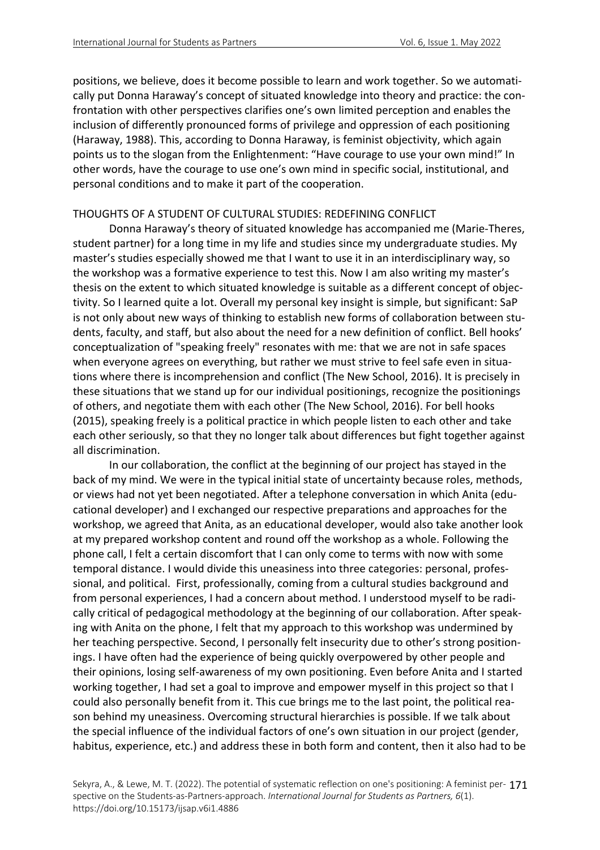positions, we believe, does it become possible to learn and work together. So we automatically put Donna Haraway's concept of situated knowledge into theory and practice: the confrontation with other perspectives clarifies one's own limited perception and enables the inclusion of differently pronounced forms of privilege and oppression of each positioning (Haraway, 1988). This, according to Donna Haraway, is feminist objectivity, which again points us to the slogan from the Enlightenment: "Have courage to use your own mind!" In other words, have the courage to use one's own mind in specific social, institutional, and personal conditions and to make it part of the cooperation.

## THOUGHTS OF A STUDENT OF CULTURAL STUDIES: REDEFINING CONFLICT

Donna Haraway's theory of situated knowledge has accompanied me (Marie-Theres, student partner) for a long time in my life and studies since my undergraduate studies. My master's studies especially showed me that I want to use it in an interdisciplinary way, so the workshop was a formative experience to test this. Now I am also writing my master's thesis on the extent to which situated knowledge is suitable as a different concept of objectivity. So I learned quite a lot. Overall my personal key insight is simple, but significant: SaP is not only about new ways of thinking to establish new forms of collaboration between students, faculty, and staff, but also about the need for a new definition of conflict. Bell hooks' conceptualization of "speaking freely" resonates with me: that we are not in safe spaces when everyone agrees on everything, but rather we must strive to feel safe even in situations where there is incomprehension and conflict (The New School, 2016). It is precisely in these situations that we stand up for our individual positionings, recognize the positionings of others, and negotiate them with each other (The New School, 2016). For bell hooks (2015), speaking freely is a political practice in which people listen to each other and take each other seriously, so that they no longer talk about differences but fight together against all discrimination.

In our collaboration, the conflict at the beginning of our project has stayed in the back of my mind. We were in the typical initial state of uncertainty because roles, methods, or views had not yet been negotiated. After a telephone conversation in which Anita (educational developer) and I exchanged our respective preparations and approaches for the workshop, we agreed that Anita, as an educational developer, would also take another look at my prepared workshop content and round off the workshop as a whole. Following the phone call, I felt a certain discomfort that I can only come to terms with now with some temporal distance. I would divide this uneasiness into three categories: personal, professional, and political. First, professionally, coming from a cultural studies background and from personal experiences, I had a concern about method. I understood myself to be radically critical of pedagogical methodology at the beginning of our collaboration. After speaking with Anita on the phone, I felt that my approach to this workshop was undermined by her teaching perspective. Second, I personally felt insecurity due to other's strong positionings. I have often had the experience of being quickly overpowered by other people and their opinions, losing self-awareness of my own positioning. Even before Anita and I started working together, I had set a goal to improve and empower myself in this project so that I could also personally benefit from it. This cue brings me to the last point, the political reason behind my uneasiness. Overcoming structural hierarchies is possible. If we talk about the special influence of the individual factors of one's own situation in our project (gender, habitus, experience, etc.) and address these in both form and content, then it also had to be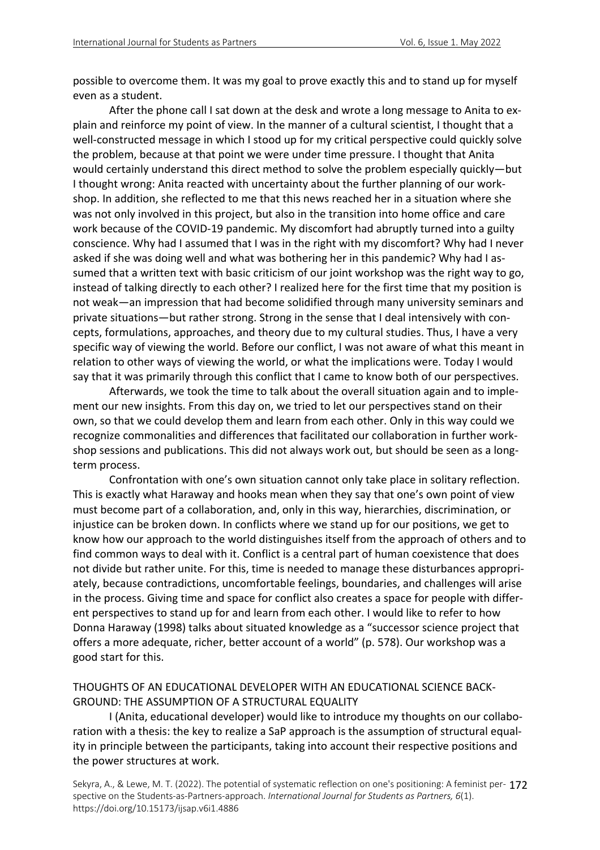possible to overcome them. It was my goal to prove exactly this and to stand up for myself even as a student.

After the phone call I sat down at the desk and wrote a long message to Anita to explain and reinforce my point of view. In the manner of a cultural scientist, I thought that a well-constructed message in which I stood up for my critical perspective could quickly solve the problem, because at that point we were under time pressure. I thought that Anita would certainly understand this direct method to solve the problem especially quickly—but I thought wrong: Anita reacted with uncertainty about the further planning of our workshop. In addition, she reflected to me that this news reached her in a situation where she was not only involved in this project, but also in the transition into home office and care work because of the COVID-19 pandemic. My discomfort had abruptly turned into a guilty conscience. Why had I assumed that I was in the right with my discomfort? Why had I never asked if she was doing well and what was bothering her in this pandemic? Why had I assumed that a written text with basic criticism of our joint workshop was the right way to go, instead of talking directly to each other? I realized here for the first time that my position is not weak—an impression that had become solidified through many university seminars and private situations—but rather strong. Strong in the sense that I deal intensively with concepts, formulations, approaches, and theory due to my cultural studies. Thus, I have a very specific way of viewing the world. Before our conflict, I was not aware of what this meant in relation to other ways of viewing the world, or what the implications were. Today I would say that it was primarily through this conflict that I came to know both of our perspectives.

Afterwards, we took the time to talk about the overall situation again and to implement our new insights. From this day on, we tried to let our perspectives stand on their own, so that we could develop them and learn from each other. Only in this way could we recognize commonalities and differences that facilitated our collaboration in further workshop sessions and publications. This did not always work out, but should be seen as a longterm process.

Confrontation with one's own situation cannot only take place in solitary reflection. This is exactly what Haraway and hooks mean when they say that one's own point of view must become part of a collaboration, and, only in this way, hierarchies, discrimination, or injustice can be broken down. In conflicts where we stand up for our positions, we get to know how our approach to the world distinguishes itself from the approach of others and to find common ways to deal with it. Conflict is a central part of human coexistence that does not divide but rather unite. For this, time is needed to manage these disturbances appropriately, because contradictions, uncomfortable feelings, boundaries, and challenges will arise in the process. Giving time and space for conflict also creates a space for people with different perspectives to stand up for and learn from each other. I would like to refer to how Donna Haraway (1998) talks about situated knowledge as a "successor science project that offers a more adequate, richer, better account of a world" (p. 578). Our workshop was a good start for this.

## THOUGHTS OF AN EDUCATIONAL DEVELOPER WITH AN EDUCATIONAL SCIENCE BACK-GROUND: THE ASSUMPTION OF A STRUCTURAL EQUALITY

I (Anita, educational developer) would like to introduce my thoughts on our collaboration with a thesis: the key to realize a SaP approach is the assumption of structural equality in principle between the participants, taking into account their respective positions and the power structures at work.

Sekyra, A., & Lewe, M. T. (2022). The potential of systematic reflection on one's positioning: A feminist per-172 spective on the Students-as-Partners-approach. *International Journal for Students as Partners, 6*(1). https://doi.org/10.15173/ijsap.v6i1.4886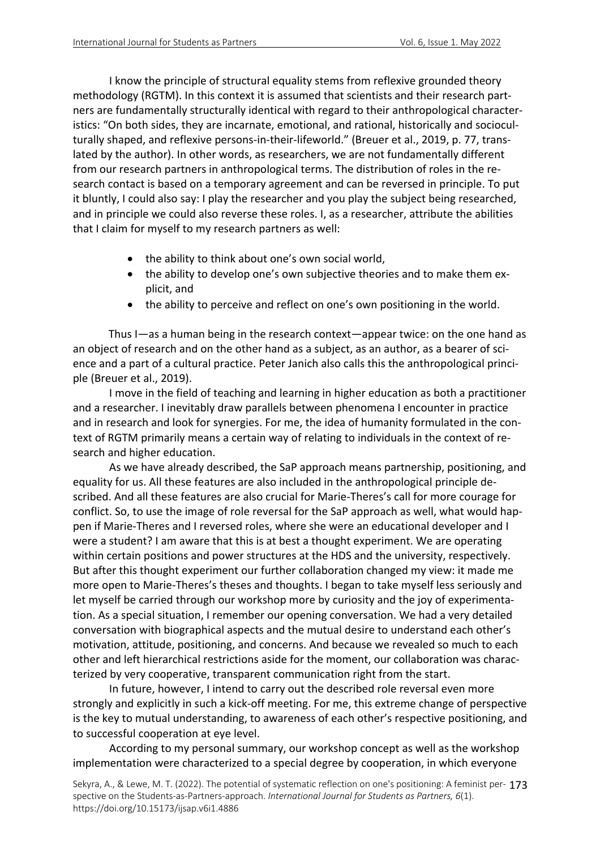I know the principle of structural equality stems from reflexive grounded theory methodology (RGTM). In this context it is assumed that scientists and their research partners are fundamentally structurally identical with regard to their anthropological characteristics: "On both sides, they are incarnate, emotional, and rational, historically and socioculturally shaped, and reflexive persons-in-their-lifeworld." (Breuer et al., 2019, p. 77, translated by the author). In other words, as researchers, we are not fundamentally different from our research partners in anthropological terms. The distribution of roles in the research contact is based on a temporary agreement and can be reversed in principle. To put it bluntly, I could also say: I play the researcher and you play the subject being researched, and in principle we could also reverse these roles. I, as a researcher, attribute the abilities that I claim for myself to my research partners as well:

- the ability to think about one's own social world,
- the ability to develop one's own subjective theories and to make them explicit, and
- the ability to perceive and reflect on one's own positioning in the world.

Thus I—as a human being in the research context—appear twice: on the one hand as an object of research and on the other hand as a subject, as an author, as a bearer of science and a part of a cultural practice. Peter Janich also calls this the anthropological principle (Breuer et al., 2019).

I move in the field of teaching and learning in higher education as both a practitioner and a researcher. I inevitably draw parallels between phenomena I encounter in practice and in research and look for synergies. For me, the idea of humanity formulated in the context of RGTM primarily means a certain way of relating to individuals in the context of research and higher education.

As we have already described, the SaP approach means partnership, positioning, and equality for us. All these features are also included in the anthropological principle described. And all these features are also crucial for Marie-Theres's call for more courage for conflict. So, to use the image of role reversal for the SaP approach as well, what would happen if Marie-Theres and I reversed roles, where she were an educational developer and I were a student? I am aware that this is at best a thought experiment. We are operating within certain positions and power structures at the HDS and the university, respectively. But after this thought experiment our further collaboration changed my view: it made me more open to Marie-Theres's theses and thoughts. I began to take myself less seriously and let myself be carried through our workshop more by curiosity and the joy of experimentation. As a special situation, I remember our opening conversation. We had a very detailed conversation with biographical aspects and the mutual desire to understand each other's motivation, attitude, positioning, and concerns. And because we revealed so much to each other and left hierarchical restrictions aside for the moment, our collaboration was characterized by very cooperative, transparent communication right from the start.

In future, however, I intend to carry out the described role reversal even more strongly and explicitly in such a kick-off meeting. For me, this extreme change of perspective is the key to mutual understanding, to awareness of each other's respective positioning, and to successful cooperation at eye level.

According to my personal summary, our workshop concept as well as the workshop implementation were characterized to a special degree by cooperation, in which everyone

Sekyra, A., & Lewe, M. T. (2022). The potential of systematic reflection on one's positioning: A feminist per-173 spective on the Students-as-Partners-approach. *International Journal for Students as Partners, 6*(1). https://doi.org/10.15173/ijsap.v6i1.4886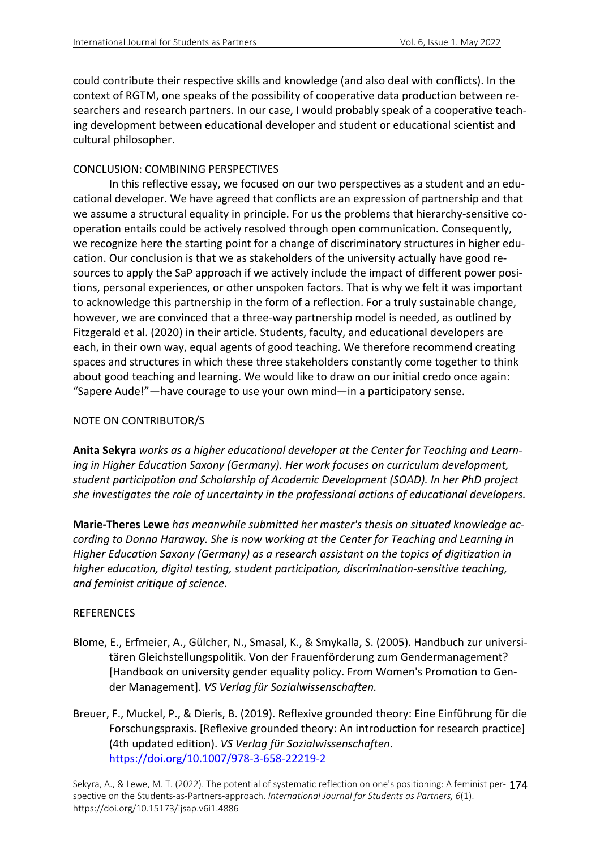could contribute their respective skills and knowledge (and also deal with conflicts). In the context of RGTM, one speaks of the possibility of cooperative data production between researchers and research partners. In our case, I would probably speak of a cooperative teaching development between educational developer and student or educational scientist and cultural philosopher.

## CONCLUSION: COMBINING PERSPECTIVES

In this reflective essay, we focused on our two perspectives as a student and an educational developer. We have agreed that conflicts are an expression of partnership and that we assume a structural equality in principle. For us the problems that hierarchy-sensitive cooperation entails could be actively resolved through open communication. Consequently, we recognize here the starting point for a change of discriminatory structures in higher education. Our conclusion is that we as stakeholders of the university actually have good resources to apply the SaP approach if we actively include the impact of different power positions, personal experiences, or other unspoken factors. That is why we felt it was important to acknowledge this partnership in the form of a reflection. For a truly sustainable change, however, we are convinced that a three-way partnership model is needed, as outlined by Fitzgerald et al. (2020) in their article. Students, faculty, and educational developers are each, in their own way, equal agents of good teaching. We therefore recommend creating spaces and structures in which these three stakeholders constantly come together to think about good teaching and learning. We would like to draw on our initial credo once again: "Sapere Aude!"—have courage to use your own mind—in a participatory sense.

## NOTE ON CONTRIBUTOR/S

**Anita Sekyra** *works as a higher educational developer at the Center for Teaching and Learning in Higher Education Saxony (Germany). Her work focuses on curriculum development, student participation and Scholarship of Academic Development (SOAD). In her PhD project she investigates the role of uncertainty in the professional actions of educational developers.*

**Marie-Theres Lewe** *has meanwhile submitted her master's thesis on situated knowledge according to Donna Haraway. She is now working at the Center for Teaching and Learning in Higher Education Saxony (Germany) as a research assistant on the topics of digitization in higher education, digital testing, student participation, discrimination-sensitive teaching, and feminist critique of science.*

#### **REFERENCES**

- Blome, E., Erfmeier, A., Gülcher, N., Smasal, K., & Smykalla, S. (2005). Handbuch zur universitären Gleichstellungspolitik. Von der Frauenförderung zum Gendermanagement? [Handbook on university gender equality policy. From Women's Promotion to Gender Management]. *VS Verlag für Sozialwissenschaften.*
- Breuer, F., Muckel, P., & Dieris, B. (2019). Reflexive grounded theory: Eine Einführung für die Forschungspraxis. [Reflexive grounded theory: An introduction for research practice] (4th updated edition). *VS Verlag für Sozialwissenschaften*. https://doi.org/10.1007/978-3-658-22219-2

Sekyra, A., & Lewe, M. T. (2022). The potential of systematic reflection on one's positioning: A feminist per-174 spective on the Students-as-Partners-approach. *International Journal for Students as Partners, 6*(1). https://doi.org/10.15173/ijsap.v6i1.4886